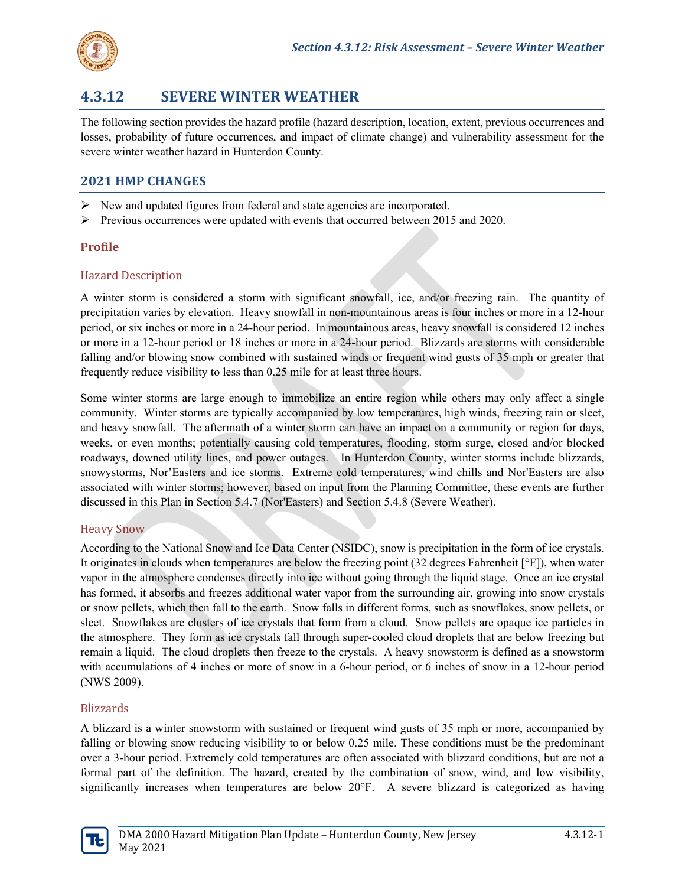

# **4.3.12 SEVERE WINTER WEATHER**

The following section provides the hazard profile (hazard description, location, extent, previous occurrences and losses, probability of future occurrences, and impact of climate change) and vulnerability assessment for the severe winter weather hazard in Hunterdon County.

# **2021 HMP CHANGES**

- $\triangleright$  New and updated figures from federal and state agencies are incorporated.
- $\triangleright$  Previous occurrences were updated with events that occurred between 2015 and 2020.

#### **Profile**

#### Hazard Description

A winter storm is considered a storm with significant snowfall, ice, and/or freezing rain. The quantity of precipitation varies by elevation. Heavy snowfall in non-mountainous areas is four inches or more in a 12-hour period, or six inches or more in a 24-hour period. In mountainous areas, heavy snowfall is considered 12 inches or more in a 12-hour period or 18 inches or more in a 24-hour period. Blizzards are storms with considerable falling and/or blowing snow combined with sustained winds or frequent wind gusts of 35 mph or greater that frequently reduce visibility to less than 0.25 mile for at least three hours.

Some winter storms are large enough to immobilize an entire region while others may only affect a single community. Winter storms are typically accompanied by low temperatures, high winds, freezing rain or sleet, and heavy snowfall. The aftermath of a winter storm can have an impact on a community or region for days, weeks, or even months; potentially causing cold temperatures, flooding, storm surge, closed and/or blocked roadways, downed utility lines, and power outages. In Hunterdon County, winter storms include blizzards, snowystorms, Nor'Easters and ice storms. Extreme cold temperatures, wind chills and Nor'Easters are also associated with winter storms; however, based on input from the Planning Committee, these events are further discussed in this Plan in Section 5.4.7 (Nor'Easters) and Section 5.4.8 (Severe Weather).

### Heavy Snow

According to the National Snow and Ice Data Center (NSIDC), snow is precipitation in the form of ice crystals. It originates in clouds when temperatures are below the freezing point (32 degrees Fahrenheit [°F]), when water vapor in the atmosphere condenses directly into ice without going through the liquid stage. Once an ice crystal has formed, it absorbs and freezes additional water vapor from the surrounding air, growing into snow crystals or snow pellets, which then fall to the earth. Snow falls in different forms, such as snowflakes, snow pellets, or sleet. Snowflakes are clusters of ice crystals that form from a cloud. Snow pellets are opaque ice particles in the atmosphere. They form as ice crystals fall through super-cooled cloud droplets that are below freezing but remain a liquid. The cloud droplets then freeze to the crystals. A heavy snowstorm is defined as a snowstorm with accumulations of 4 inches or more of snow in a 6-hour period, or 6 inches of snow in a 12-hour period (NWS 2009).

#### Blizzards

A blizzard is a winter snowstorm with sustained or frequent wind gusts of 35 mph or more, accompanied by falling or blowing snow reducing visibility to or below 0.25 mile. These conditions must be the predominant over a 3-hour period. Extremely cold temperatures are often associated with blizzard conditions, but are not a formal part of the definition. The hazard, created by the combination of snow, wind, and low visibility, significantly increases when temperatures are below 20°F. A severe blizzard is categorized as having

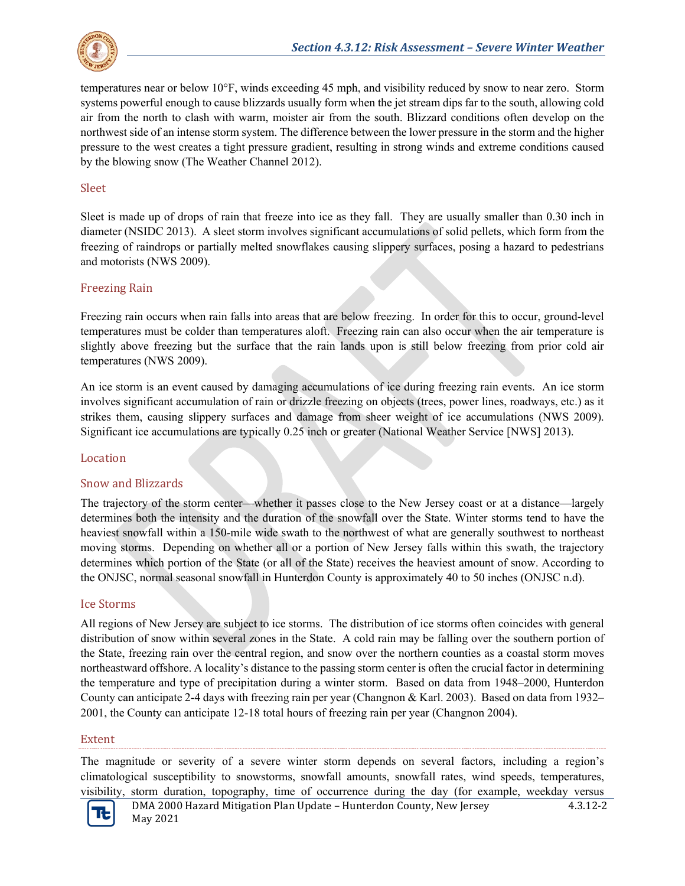

temperatures near or below 10°F, winds exceeding 45 mph, and visibility reduced by snow to near zero. Storm systems powerful enough to cause blizzards usually form when the jet stream dips far to the south, allowing cold air from the north to clash with warm, moister air from the south. Blizzard conditions often develop on the northwest side of an intense storm system. The difference between the lower pressure in the storm and the higher pressure to the west creates a tight pressure gradient, resulting in strong winds and extreme conditions caused by the blowing snow (The Weather Channel 2012).

#### Sleet

Sleet is made up of drops of rain that freeze into ice as they fall. They are usually smaller than 0.30 inch in diameter (NSIDC 2013). A sleet storm involves significant accumulations of solid pellets, which form from the freezing of raindrops or partially melted snowflakes causing slippery surfaces, posing a hazard to pedestrians and motorists (NWS 2009).

#### Freezing Rain

Freezing rain occurs when rain falls into areas that are below freezing. In order for this to occur, ground-level temperatures must be colder than temperatures aloft. Freezing rain can also occur when the air temperature is slightly above freezing but the surface that the rain lands upon is still below freezing from prior cold air temperatures (NWS 2009).

An ice storm is an event caused by damaging accumulations of ice during freezing rain events. An ice storm involves significant accumulation of rain or drizzle freezing on objects (trees, power lines, roadways, etc.) as it strikes them, causing slippery surfaces and damage from sheer weight of ice accumulations (NWS 2009). Significant ice accumulations are typically 0.25 inch or greater (National Weather Service [NWS] 2013).

#### Location

#### Snow and Blizzards

The trajectory of the storm center—whether it passes close to the New Jersey coast or at a distance—largely determines both the intensity and the duration of the snowfall over the State. Winter storms tend to have the heaviest snowfall within a 150-mile wide swath to the northwest of what are generally southwest to northeast moving storms. Depending on whether all or a portion of New Jersey falls within this swath, the trajectory determines which portion of the State (or all of the State) receives the heaviest amount of snow. According to the ONJSC, normal seasonal snowfall in Hunterdon County is approximately 40 to 50 inches (ONJSC n.d).

#### Ice Storms

All regions of New Jersey are subject to ice storms. The distribution of ice storms often coincides with general distribution of snow within several zones in the State. A cold rain may be falling over the southern portion of the State, freezing rain over the central region, and snow over the northern counties as a coastal storm moves northeastward offshore. A locality's distance to the passing storm center is often the crucial factor in determining the temperature and type of precipitation during a winter storm. Based on data from 1948–2000, Hunterdon County can anticipate 2-4 days with freezing rain per year (Changnon & Karl. 2003). Based on data from 1932– 2001, the County can anticipate 12-18 total hours of freezing rain per year (Changnon 2004).

#### Extent

The magnitude or severity of a severe winter storm depends on several factors, including a region's climatological susceptibility to snowstorms, snowfall amounts, snowfall rates, wind speeds, temperatures, visibility, storm duration, topography, time of occurrence during the day (for example, weekday versus

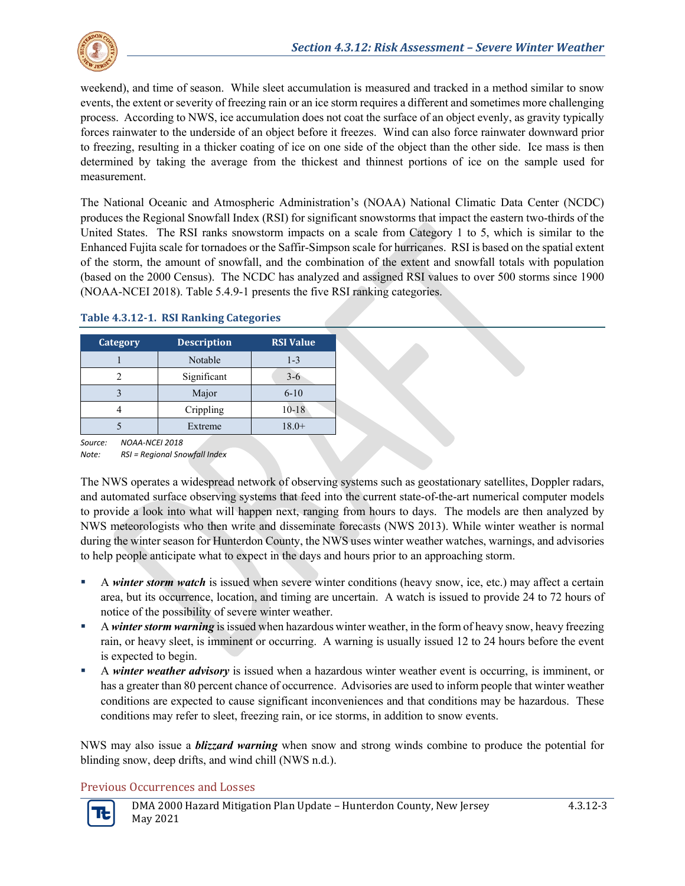

weekend), and time of season. While sleet accumulation is measured and tracked in a method similar to snow events, the extent or severity of freezing rain or an ice storm requires a different and sometimes more challenging process. According to NWS, ice accumulation does not coat the surface of an object evenly, as gravity typically forces rainwater to the underside of an object before it freezes. Wind can also force rainwater downward prior to freezing, resulting in a thicker coating of ice on one side of the object than the other side. Ice mass is then determined by taking the average from the thickest and thinnest portions of ice on the sample used for measurement.

The National Oceanic and Atmospheric Administration's (NOAA) National Climatic Data Center (NCDC) produces the Regional Snowfall Index (RSI) for significant snowstorms that impact the eastern two-thirds of the United States. The RSI ranks snowstorm impacts on a scale from Category 1 to 5, which is similar to the Enhanced Fujita scale for tornadoes or the Saffir-Simpson scale for hurricanes. RSI is based on the spatial extent of the storm, the amount of snowfall, and the combination of the extent and snowfall totals with population (based on the 2000 Census). The NCDC has analyzed and assigned RSI values to over 500 storms since 1900 (NOAA-NCEI 2018). Table 5.4.9-1 presents the five RSI ranking categories.

| Category | <b>Description</b> | <b>RSI Value</b> |
|----------|--------------------|------------------|
|          | Notable            | $1 - 3$          |
|          | Significant        | $3-6$            |
|          | Major              | $6 - 10$         |
|          | Crippling          | $10 - 18$        |
|          | Extreme            | $18.0+$          |

#### **Table 4.3.12-1. RSI Ranking Categories**

*Source: NOAA-NCEI 2018*

*Note: RSI = Regional Snowfall Index*

The NWS operates a widespread network of observing systems such as geostationary satellites, Doppler radars, and automated surface observing systems that feed into the current state-of-the-art numerical computer models to provide a look into what will happen next, ranging from hours to days. The models are then analyzed by NWS meteorologists who then write and disseminate forecasts (NWS 2013). While winter weather is normal during the winter season for Hunterdon County, the NWS uses winter weather watches, warnings, and advisories to help people anticipate what to expect in the days and hours prior to an approaching storm.

- A *winter storm watch* is issued when severe winter conditions (heavy snow, ice, etc.) may affect a certain area, but its occurrence, location, and timing are uncertain. A watch is issued to provide 24 to 72 hours of notice of the possibility of severe winter weather.
- A *winter storm warning* is issued when hazardous winter weather, in the form of heavy snow, heavy freezing rain, or heavy sleet, is imminent or occurring. A warning is usually issued 12 to 24 hours before the event is expected to begin.
- A *winter weather advisory* is issued when a hazardous winter weather event is occurring, is imminent, or has a greater than 80 percent chance of occurrence. Advisories are used to inform people that winter weather conditions are expected to cause significant inconveniences and that conditions may be hazardous. These conditions may refer to sleet, freezing rain, or ice storms, in addition to snow events.

NWS may also issue a *blizzard warning* when snow and strong winds combine to produce the potential for blinding snow, deep drifts, and wind chill (NWS n.d.).

### Previous Occurrences and Losses

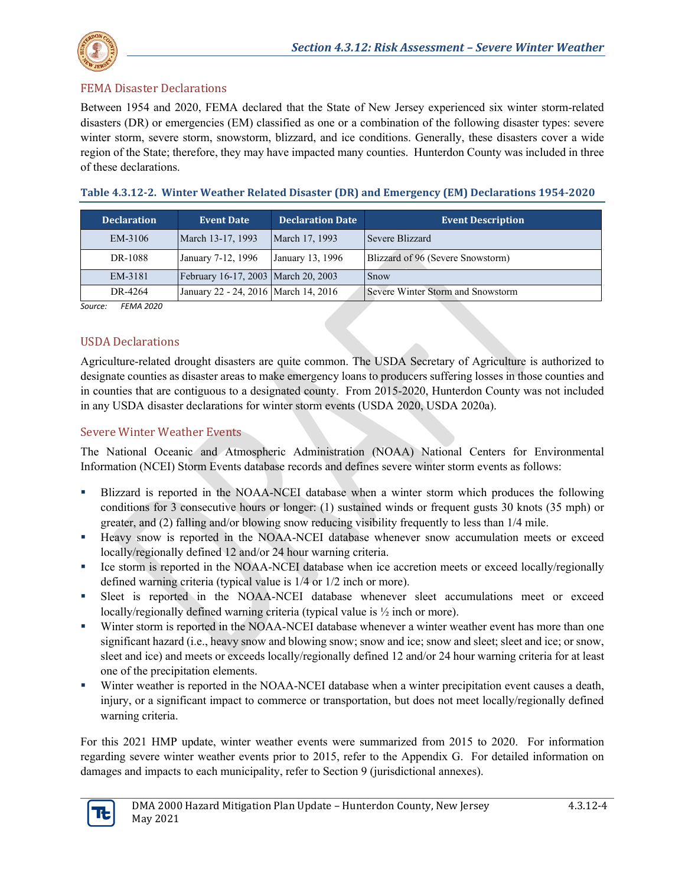

### FEMA Disaster Declarations

Between 1954 and 2020, FEMA declared that the State of New Jersey experienced six winter storm-related disasters (DR) or emergencies (EM) classified as one or a combination of the following disaster types: severe winter storm, severe storm, snowstorm, blizzard, and ice conditions. Generally, these disasters cover a wide region of the State; therefore, they may have impacted many counties. Hunterdon County was included in three of these declarations.

| <b>Declaration</b> | <b>Event Date</b>                      | <b>Declaration Date</b> | <b>Event Description</b>          |
|--------------------|----------------------------------------|-------------------------|-----------------------------------|
| EM-3106            | March 13-17, 1993                      | March 17, 1993          | Severe Blizzard                   |
| DR-1088            | January 7-12, 1996                     | January 13, 1996        | Blizzard of 96 (Severe Snowstorm) |
| EM-3181            | February 16-17, 2003 March 20, 2003    |                         | Snow                              |
| DR-4264            | January 22 - 24, 2016   March 14, 2016 |                         | Severe Winter Storm and Snowstorm |

**Table 4.3.12-2. Winter Weather Related Disaster (DR) and Emergency (EM) Declarations 1954-2020**

*Source: FEMA 2020*

### USDA Declarations

Agriculture-related drought disasters are quite common. The USDA Secretary of Agriculture is authorized to designate counties as disaster areas to make emergency loans to producers suffering losses in those counties and in counties that are contiguous to a designated county. From 2015-2020, Hunterdon County was not included in any USDA disaster declarations for winter storm events (USDA 2020, USDA 2020a).

#### Severe Winter Weather Events

The National Oceanic and Atmospheric Administration (NOAA) National Centers for Environmental Information (NCEI) Storm Events database records and defines severe winter storm events as follows:

- Blizzard is reported in the NOAA-NCEI database when a winter storm which produces the following conditions for 3 consecutive hours or longer: (1) sustained winds or frequent gusts 30 knots (35 mph) or greater, and (2) falling and/or blowing snow reducing visibility frequently to less than 1/4 mile.
- Heavy snow is reported in the NOAA-NCEI database whenever snow accumulation meets or exceed locally/regionally defined 12 and/or 24 hour warning criteria.
- Ice storm is reported in the NOAA-NCEI database when ice accretion meets or exceed locally/regionally defined warning criteria (typical value is 1/4 or 1/2 inch or more).
- Sleet is reported in the NOAA-NCEI database whenever sleet accumulations meet or exceed locally/regionally defined warning criteria (typical value is ½ inch or more).
- Winter storm is reported in the NOAA-NCEI database whenever a winter weather event has more than one significant hazard (i.e., heavy snow and blowing snow; snow and ice; snow and sleet; sleet and ice; or snow, sleet and ice) and meets or exceeds locally/regionally defined 12 and/or 24 hour warning criteria for at least one of the precipitation elements.
- Winter weather is reported in the NOAA-NCEI database when a winter precipitation event causes a death, injury, or a significant impact to commerce or transportation, but does not meet locally/regionally defined warning criteria.

For this 2021 HMP update, winter weather events were summarized from 2015 to 2020. For information regarding severe winter weather events prior to 2015, refer to the Appendix G. For detailed information on damages and impacts to each municipality, refer to Section 9 (jurisdictional annexes).

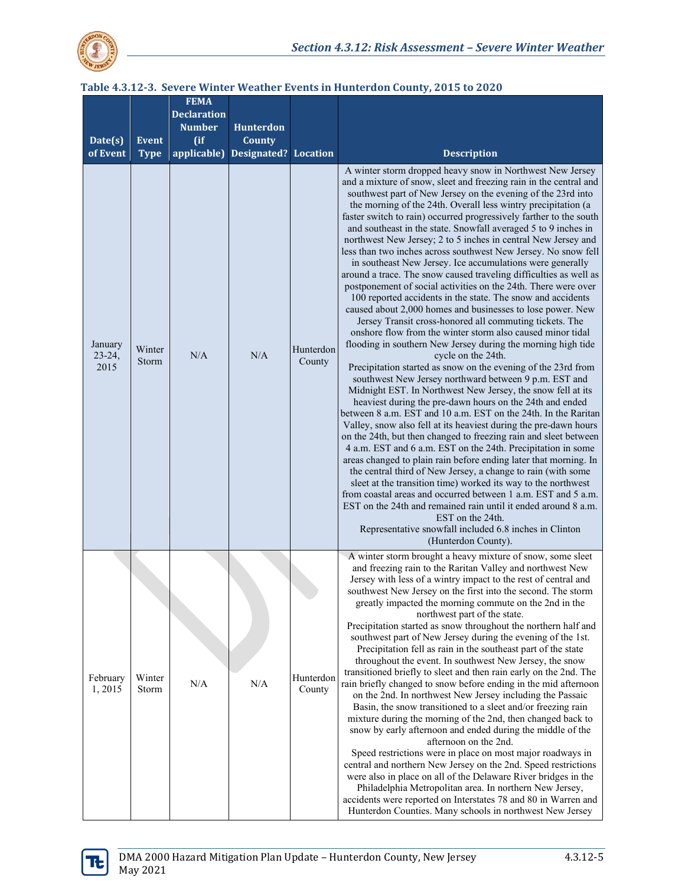

| Date(s)<br>of Event         | <b>Event</b><br><b>Type</b> | <b>FEMA</b><br><b>Declaration</b><br><b>Number</b><br>(ii)<br>applicable) | Hunterdon<br><b>County</b><br><b>Designated? Location</b> |                     | <b>Description</b>                                                                                                                                                                                                                                                                                                                                                                                                                                                                                                                                                                                                                                                                                                                                                                                                                                                                                                                                                                                                                                                                                                                                                                                                                                                                                                                                                                                                                                                                                                                                                                                                                                                                                                                                                                                                                                                                                                                                                                                                                                                     |
|-----------------------------|-----------------------------|---------------------------------------------------------------------------|-----------------------------------------------------------|---------------------|------------------------------------------------------------------------------------------------------------------------------------------------------------------------------------------------------------------------------------------------------------------------------------------------------------------------------------------------------------------------------------------------------------------------------------------------------------------------------------------------------------------------------------------------------------------------------------------------------------------------------------------------------------------------------------------------------------------------------------------------------------------------------------------------------------------------------------------------------------------------------------------------------------------------------------------------------------------------------------------------------------------------------------------------------------------------------------------------------------------------------------------------------------------------------------------------------------------------------------------------------------------------------------------------------------------------------------------------------------------------------------------------------------------------------------------------------------------------------------------------------------------------------------------------------------------------------------------------------------------------------------------------------------------------------------------------------------------------------------------------------------------------------------------------------------------------------------------------------------------------------------------------------------------------------------------------------------------------------------------------------------------------------------------------------------------------|
| January<br>$23-24,$<br>2015 | Winter<br>Storm             | N/A                                                                       | N/A                                                       | Hunterdon<br>County | A winter storm dropped heavy snow in Northwest New Jersey<br>and a mixture of snow, sleet and freezing rain in the central and<br>southwest part of New Jersey on the evening of the 23rd into<br>the morning of the 24th. Overall less wintry precipitation (a<br>faster switch to rain) occurred progressively farther to the south<br>and southeast in the state. Snowfall averaged 5 to 9 inches in<br>northwest New Jersey; 2 to 5 inches in central New Jersey and<br>less than two inches across southwest New Jersey. No snow fell<br>in southeast New Jersey. Ice accumulations were generally<br>around a trace. The snow caused traveling difficulties as well as<br>postponement of social activities on the 24th. There were over<br>100 reported accidents in the state. The snow and accidents<br>caused about 2,000 homes and businesses to lose power. New<br>Jersey Transit cross-honored all commuting tickets. The<br>onshore flow from the winter storm also caused minor tidal<br>flooding in southern New Jersey during the morning high tide<br>cycle on the 24th.<br>Precipitation started as snow on the evening of the 23rd from<br>southwest New Jersey northward between 9 p.m. EST and<br>Midnight EST. In Northwest New Jersey, the snow fell at its<br>heaviest during the pre-dawn hours on the 24th and ended<br>between 8 a.m. EST and 10 a.m. EST on the 24th. In the Raritan<br>Valley, snow also fell at its heaviest during the pre-dawn hours<br>on the 24th, but then changed to freezing rain and sleet between<br>4 a.m. EST and 6 a.m. EST on the 24th. Precipitation in some<br>areas changed to plain rain before ending later that morning. In<br>the central third of New Jersey, a change to rain (with some<br>sleet at the transition time) worked its way to the northwest<br>from coastal areas and occurred between 1 a.m. EST and 5 a.m.<br>EST on the 24th and remained rain until it ended around 8 a.m.<br>EST on the 24th.<br>Representative snowfall included 6.8 inches in Clinton<br>(Hunterdon County). |
| February<br>1,2015          | Winter<br>Storm             | N/A                                                                       | N/A                                                       | Hunterdon<br>County | A winter storm brought a heavy mixture of snow, some sleet<br>and freezing rain to the Raritan Valley and northwest New<br>Jersey with less of a wintry impact to the rest of central and<br>southwest New Jersey on the first into the second. The storm<br>greatly impacted the morning commute on the 2nd in the<br>northwest part of the state.<br>Precipitation started as snow throughout the northern half and<br>southwest part of New Jersey during the evening of the 1st.<br>Precipitation fell as rain in the southeast part of the state<br>throughout the event. In southwest New Jersey, the snow<br>transitioned briefly to sleet and then rain early on the 2nd. The<br>rain briefly changed to snow before ending in the mid afternoon<br>on the 2nd. In northwest New Jersey including the Passaic<br>Basin, the snow transitioned to a sleet and/or freezing rain<br>mixture during the morning of the 2nd, then changed back to<br>snow by early afternoon and ended during the middle of the<br>afternoon on the 2nd.<br>Speed restrictions were in place on most major roadways in<br>central and northern New Jersey on the 2nd. Speed restrictions<br>were also in place on all of the Delaware River bridges in the<br>Philadelphia Metropolitan area. In northern New Jersey,<br>accidents were reported on Interstates 78 and 80 in Warren and<br>Hunterdon Counties. Many schools in northwest New Jersey                                                                                                                                                                                                                                                                                                                                                                                                                                                                                                                                                                                                                                 |

#### **Table 4.3.12-3. Severe Winter Weather Events in Hunterdon County, 2015 to 2020**

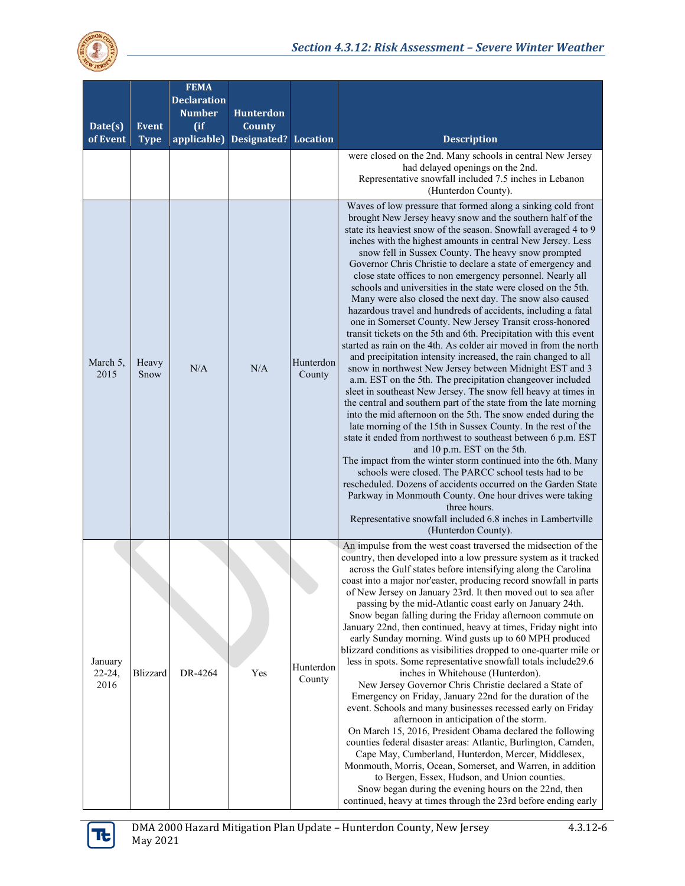

| Date(s)<br>of Event           | <b>Event</b><br><b>Type</b> | <b>FEMA</b><br><b>Declaration</b><br><b>Number</b><br>(ii)<br>applicable) | <b>Hunterdon</b><br>County<br>Designated? | <b>Location</b>     | <b>Description</b>                                                                                                                                                                                                                                                                                                                                                                                                                                                                                                                                                                                                                                                                                                                                                                                                                                                                                                                                                                                                                                                                                                                                                                                                                                                                                                                                                                                                                                                                                                                                                                                                                                                                                                                                                                 |
|-------------------------------|-----------------------------|---------------------------------------------------------------------------|-------------------------------------------|---------------------|------------------------------------------------------------------------------------------------------------------------------------------------------------------------------------------------------------------------------------------------------------------------------------------------------------------------------------------------------------------------------------------------------------------------------------------------------------------------------------------------------------------------------------------------------------------------------------------------------------------------------------------------------------------------------------------------------------------------------------------------------------------------------------------------------------------------------------------------------------------------------------------------------------------------------------------------------------------------------------------------------------------------------------------------------------------------------------------------------------------------------------------------------------------------------------------------------------------------------------------------------------------------------------------------------------------------------------------------------------------------------------------------------------------------------------------------------------------------------------------------------------------------------------------------------------------------------------------------------------------------------------------------------------------------------------------------------------------------------------------------------------------------------------|
|                               |                             |                                                                           |                                           |                     | were closed on the 2nd. Many schools in central New Jersey<br>had delayed openings on the 2nd.<br>Representative snowfall included 7.5 inches in Lebanon<br>(Hunterdon County).                                                                                                                                                                                                                                                                                                                                                                                                                                                                                                                                                                                                                                                                                                                                                                                                                                                                                                                                                                                                                                                                                                                                                                                                                                                                                                                                                                                                                                                                                                                                                                                                    |
| March 5.<br>2015              | Heavy<br>Snow               | N/A                                                                       | N/A                                       | Hunterdon<br>County | Waves of low pressure that formed along a sinking cold front<br>brought New Jersey heavy snow and the southern half of the<br>state its heaviest snow of the season. Snowfall averaged 4 to 9<br>inches with the highest amounts in central New Jersey. Less<br>snow fell in Sussex County. The heavy snow prompted<br>Governor Chris Christie to declare a state of emergency and<br>close state offices to non emergency personnel. Nearly all<br>schools and universities in the state were closed on the 5th.<br>Many were also closed the next day. The snow also caused<br>hazardous travel and hundreds of accidents, including a fatal<br>one in Somerset County. New Jersey Transit cross-honored<br>transit tickets on the 5th and 6th. Precipitation with this event<br>started as rain on the 4th. As colder air moved in from the north<br>and precipitation intensity increased, the rain changed to all<br>snow in northwest New Jersey between Midnight EST and 3<br>a.m. EST on the 5th. The precipitation changeover included<br>sleet in southeast New Jersey. The snow fell heavy at times in<br>the central and southern part of the state from the late morning<br>into the mid afternoon on the 5th. The snow ended during the<br>late morning of the 15th in Sussex County. In the rest of the<br>state it ended from northwest to southeast between 6 p.m. EST<br>and 10 p.m. EST on the 5th.<br>The impact from the winter storm continued into the 6th. Many<br>schools were closed. The PARCC school tests had to be<br>rescheduled. Dozens of accidents occurred on the Garden State<br>Parkway in Monmouth County. One hour drives were taking<br>three hours.<br>Representative snowfall included 6.8 inches in Lambertville<br>(Hunterdon County). |
| January<br>$22 - 24,$<br>2016 | <b>Blizzard</b>             | DR-4264                                                                   | Yes                                       | Hunterdon<br>County | An impulse from the west coast traversed the midsection of the<br>country, then developed into a low pressure system as it tracked<br>across the Gulf states before intensifying along the Carolina<br>coast into a major nor'easter, producing record snowfall in parts<br>of New Jersey on January 23rd. It then moved out to sea after<br>passing by the mid-Atlantic coast early on January 24th.<br>Snow began falling during the Friday afternoon commute on<br>January 22nd, then continued, heavy at times, Friday night into<br>early Sunday morning. Wind gusts up to 60 MPH produced<br>blizzard conditions as visibilities dropped to one-quarter mile or<br>less in spots. Some representative snowfall totals include29.6<br>inches in Whitehouse (Hunterdon).<br>New Jersey Governor Chris Christie declared a State of<br>Emergency on Friday, January 22nd for the duration of the<br>event. Schools and many businesses recessed early on Friday<br>afternoon in anticipation of the storm.<br>On March 15, 2016, President Obama declared the following<br>counties federal disaster areas: Atlantic, Burlington, Camden,<br>Cape May, Cumberland, Hunterdon, Mercer, Middlesex,<br>Monmouth, Morris, Ocean, Somerset, and Warren, in addition<br>to Bergen, Essex, Hudson, and Union counties.<br>Snow began during the evening hours on the 22nd, then<br>continued, heavy at times through the 23rd before ending early                                                                                                                                                                                                                                                                                                                                      |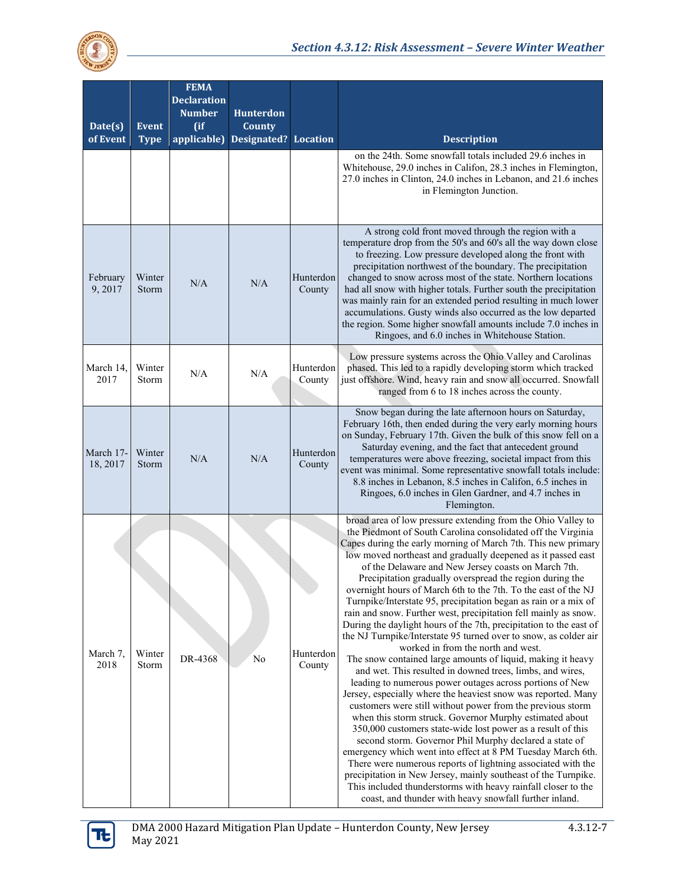

| Date(s)<br>of Event   | <b>Event</b><br><b>Type</b> | <b>FEMA</b><br><b>Declaration</b><br><b>Number</b><br>(ii)<br>applicable) | <b>Hunterdon</b><br>County<br>Designated? | <b>Location</b>     | <b>Description</b>                                                                                                                                                                                                                                                                                                                                                                                                                                                                                                                                                                                                                                                                                                                                                                                                                                                                                                                                                                                                                                                                                                                                                                                                                                                                                                                                                                                                                                                                                                                                                                                              |
|-----------------------|-----------------------------|---------------------------------------------------------------------------|-------------------------------------------|---------------------|-----------------------------------------------------------------------------------------------------------------------------------------------------------------------------------------------------------------------------------------------------------------------------------------------------------------------------------------------------------------------------------------------------------------------------------------------------------------------------------------------------------------------------------------------------------------------------------------------------------------------------------------------------------------------------------------------------------------------------------------------------------------------------------------------------------------------------------------------------------------------------------------------------------------------------------------------------------------------------------------------------------------------------------------------------------------------------------------------------------------------------------------------------------------------------------------------------------------------------------------------------------------------------------------------------------------------------------------------------------------------------------------------------------------------------------------------------------------------------------------------------------------------------------------------------------------------------------------------------------------|
|                       |                             |                                                                           |                                           |                     | on the 24th. Some snowfall totals included 29.6 inches in<br>Whitehouse, 29.0 inches in Califon, 28.3 inches in Flemington,<br>27.0 inches in Clinton, 24.0 inches in Lebanon, and 21.6 inches<br>in Flemington Junction.                                                                                                                                                                                                                                                                                                                                                                                                                                                                                                                                                                                                                                                                                                                                                                                                                                                                                                                                                                                                                                                                                                                                                                                                                                                                                                                                                                                       |
| February<br>9, 2017   | Winter<br>Storm             | N/A                                                                       | N/A                                       | Hunterdon<br>County | A strong cold front moved through the region with a<br>temperature drop from the 50's and 60's all the way down close<br>to freezing. Low pressure developed along the front with<br>precipitation northwest of the boundary. The precipitation<br>changed to snow across most of the state. Northern locations<br>had all snow with higher totals. Further south the precipitation<br>was mainly rain for an extended period resulting in much lower<br>accumulations. Gusty winds also occurred as the low departed<br>the region. Some higher snowfall amounts include 7.0 inches in<br>Ringoes, and 6.0 inches in Whitehouse Station.                                                                                                                                                                                                                                                                                                                                                                                                                                                                                                                                                                                                                                                                                                                                                                                                                                                                                                                                                                       |
| March 14.<br>2017     | Winter<br>Storm             | N/A                                                                       | N/A                                       | Hunterdon<br>County | Low pressure systems across the Ohio Valley and Carolinas<br>phased. This led to a rapidly developing storm which tracked<br>just offshore. Wind, heavy rain and snow all occurred. Snowfall<br>ranged from 6 to 18 inches across the county.                                                                                                                                                                                                                                                                                                                                                                                                                                                                                                                                                                                                                                                                                                                                                                                                                                                                                                                                                                                                                                                                                                                                                                                                                                                                                                                                                                   |
| March 17-<br>18, 2017 | Winter<br>Storm             | N/A                                                                       | N/A                                       | Hunterdon<br>County | Snow began during the late afternoon hours on Saturday,<br>February 16th, then ended during the very early morning hours<br>on Sunday, February 17th. Given the bulk of this snow fell on a<br>Saturday evening, and the fact that antecedent ground<br>temperatures were above freezing, societal impact from this<br>event was minimal. Some representative snowfall totals include:<br>8.8 inches in Lebanon, 8.5 inches in Califon, 6.5 inches in<br>Ringoes, 6.0 inches in Glen Gardner, and 4.7 inches in<br>Flemington.                                                                                                                                                                                                                                                                                                                                                                                                                                                                                                                                                                                                                                                                                                                                                                                                                                                                                                                                                                                                                                                                                  |
| March 7,<br>2018      | Winter<br>Storm             | DR-4368                                                                   | No                                        | Hunterdon<br>County | broad area of low pressure extending from the Ohio Valley to<br>the Piedmont of South Carolina consolidated off the Virginia<br>Capes during the early morning of March 7th. This new primary<br>low moved northeast and gradually deepened as it passed east<br>of the Delaware and New Jersey coasts on March 7th.<br>Precipitation gradually overspread the region during the<br>overnight hours of March 6th to the 7th. To the east of the NJ<br>Turnpike/Interstate 95, precipitation began as rain or a mix of<br>rain and snow. Further west, precipitation fell mainly as snow.<br>During the daylight hours of the 7th, precipitation to the east of<br>the NJ Turnpike/Interstate 95 turned over to snow, as colder air<br>worked in from the north and west.<br>The snow contained large amounts of liquid, making it heavy<br>and wet. This resulted in downed trees, limbs, and wires,<br>leading to numerous power outages across portions of New<br>Jersey, especially where the heaviest snow was reported. Many<br>customers were still without power from the previous storm<br>when this storm struck. Governor Murphy estimated about<br>350,000 customers state-wide lost power as a result of this<br>second storm. Governor Phil Murphy declared a state of<br>emergency which went into effect at 8 PM Tuesday March 6th.<br>There were numerous reports of lightning associated with the<br>precipitation in New Jersey, mainly southeast of the Turnpike.<br>This included thunderstorms with heavy rainfall closer to the<br>coast, and thunder with heavy snowfall further inland. |

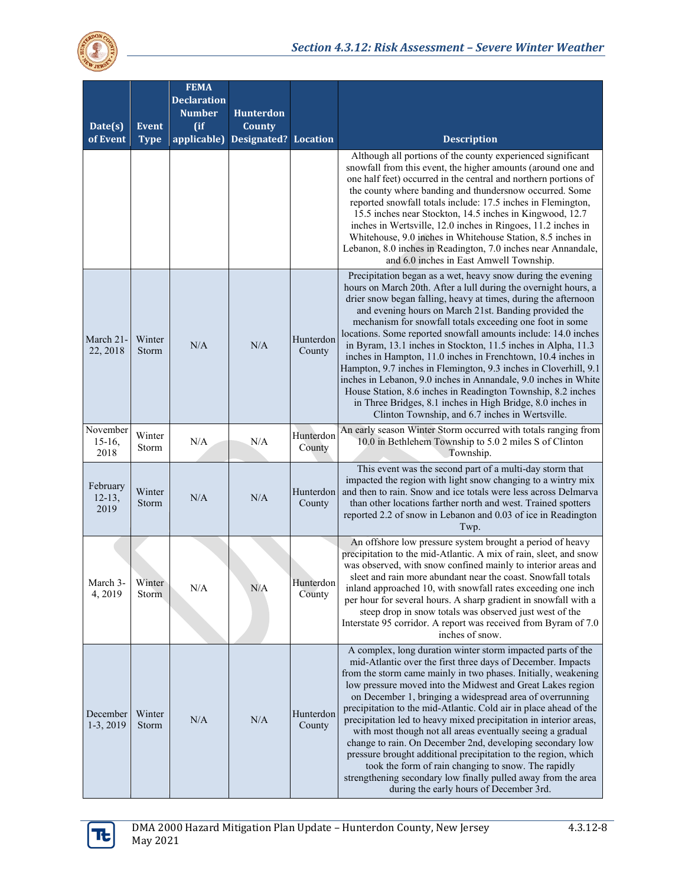

| Date(s)<br>of Event           | <b>Event</b><br><b>Type</b> | <b>FEMA</b><br><b>Declaration</b><br><b>Number</b><br>$($ if<br>applicable) | <b>Hunterdon</b><br>County<br>Designated? | <b>Location</b>     | <b>Description</b>                                                                                                                                                                                                                                                                                                                                                                                                                                                                                                                                                                                                                                                                                                                                                                                                                               |
|-------------------------------|-----------------------------|-----------------------------------------------------------------------------|-------------------------------------------|---------------------|--------------------------------------------------------------------------------------------------------------------------------------------------------------------------------------------------------------------------------------------------------------------------------------------------------------------------------------------------------------------------------------------------------------------------------------------------------------------------------------------------------------------------------------------------------------------------------------------------------------------------------------------------------------------------------------------------------------------------------------------------------------------------------------------------------------------------------------------------|
|                               |                             |                                                                             |                                           |                     | Although all portions of the county experienced significant<br>snowfall from this event, the higher amounts (around one and<br>one half feet) occurred in the central and northern portions of<br>the county where banding and thundersnow occurred. Some<br>reported snowfall totals include: 17.5 inches in Flemington,<br>15.5 inches near Stockton, 14.5 inches in Kingwood, 12.7<br>inches in Wertsville, 12.0 inches in Ringoes, 11.2 inches in<br>Whitehouse, 9.0 inches in Whitehouse Station, 8.5 inches in<br>Lebanon, 8.0 inches in Readington, 7.0 inches near Annandale,<br>and 6.0 inches in East Amwell Township.                                                                                                                                                                                                                 |
| March 21-<br>22, 2018         | Winter<br>Storm             | N/A                                                                         | N/A                                       | Hunterdon<br>County | Precipitation began as a wet, heavy snow during the evening<br>hours on March 20th. After a lull during the overnight hours, a<br>drier snow began falling, heavy at times, during the afternoon<br>and evening hours on March 21st. Banding provided the<br>mechanism for snowfall totals exceeding one foot in some<br>locations. Some reported snowfall amounts include: 14.0 inches<br>in Byram, 13.1 inches in Stockton, 11.5 inches in Alpha, 11.3<br>inches in Hampton, 11.0 inches in Frenchtown, 10.4 inches in<br>Hampton, 9.7 inches in Flemington, 9.3 inches in Cloverhill, 9.1<br>inches in Lebanon, 9.0 inches in Annandale, 9.0 inches in White<br>House Station, 8.6 inches in Readington Township, 8.2 inches<br>in Three Bridges, 8.1 inches in High Bridge, 8.0 inches in<br>Clinton Township, and 6.7 inches in Wertsville. |
| November<br>$15-16$ ,<br>2018 | Winter<br>Storm             | N/A                                                                         | N/A                                       | Hunterdon<br>County | An early season Winter Storm occurred with totals ranging from<br>10.0 in Bethlehem Township to 5.0 2 miles S of Clinton<br>Township.                                                                                                                                                                                                                                                                                                                                                                                                                                                                                                                                                                                                                                                                                                            |
| February<br>$12-13,$<br>2019  | Winter<br>Storm             | N/A                                                                         | N/A                                       | Hunterdon<br>County | This event was the second part of a multi-day storm that<br>impacted the region with light snow changing to a wintry mix<br>and then to rain. Snow and ice totals were less across Delmarva<br>than other locations farther north and west. Trained spotters<br>reported 2.2 of snow in Lebanon and 0.03 of ice in Readington<br>Twp.                                                                                                                                                                                                                                                                                                                                                                                                                                                                                                            |
| March 3-<br>4, 2019           | Winter<br>Storm             | N/A                                                                         | N/A                                       | Hunterdon<br>County | An offshore low pressure system brought a period of heavy<br>precipitation to the mid-Atlantic. A mix of rain, sleet, and snow<br>was observed, with snow confined mainly to interior areas and<br>sleet and rain more abundant near the coast. Snowfall totals<br>inland approached 10, with snowfall rates exceeding one inch<br>per hour for several hours. A sharp gradient in snowfall with a<br>steep drop in snow totals was observed just west of the<br>Interstate 95 corridor. A report was received from Byram of 7.0<br>inches of snow.                                                                                                                                                                                                                                                                                              |
| December<br>1-3, 2019         | Winter<br>Storm             | N/A                                                                         | N/A                                       | Hunterdon<br>County | A complex, long duration winter storm impacted parts of the<br>mid-Atlantic over the first three days of December. Impacts<br>from the storm came mainly in two phases. Initially, weakening<br>low pressure moved into the Midwest and Great Lakes region<br>on December 1, bringing a widespread area of overrunning<br>precipitation to the mid-Atlantic. Cold air in place ahead of the<br>precipitation led to heavy mixed precipitation in interior areas,<br>with most though not all areas eventually seeing a gradual<br>change to rain. On December 2nd, developing secondary low<br>pressure brought additional precipitation to the region, which<br>took the form of rain changing to snow. The rapidly<br>strengthening secondary low finally pulled away from the area<br>during the early hours of December 3rd.                 |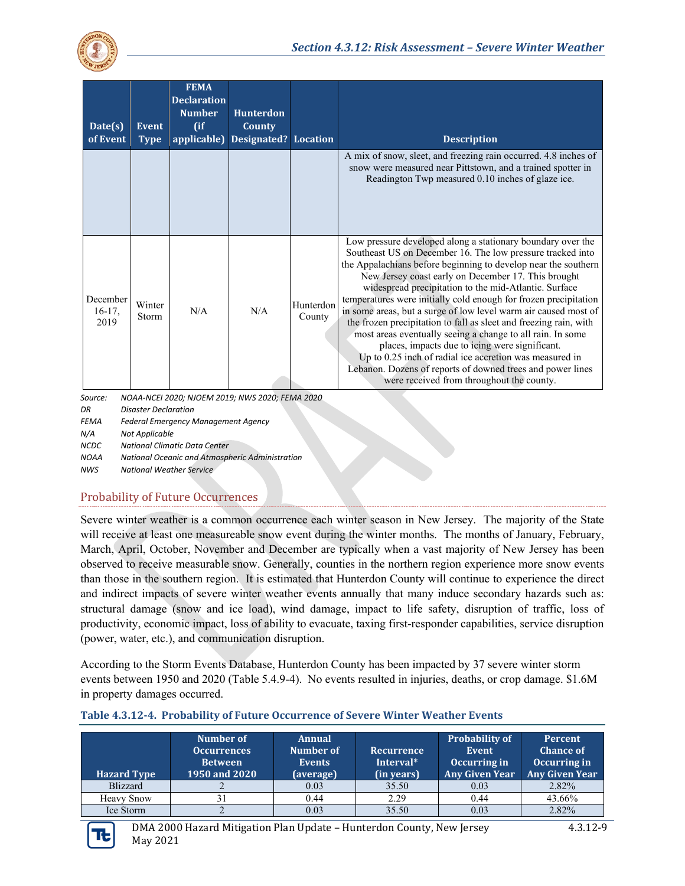

| Date(s)<br>of Event        | Event<br><b>Type</b> | <b>FEMA</b><br><b>Declaration</b><br><b>Number</b><br>$($ if<br>applicable) | <b>Hunterdon</b><br>County<br>Designated? Location |                     | <b>Description</b>                                                                                                                                                                                                                                                                                                                                                                                                                                                                                                                                                                                                                                                                                                                                                                                            |
|----------------------------|----------------------|-----------------------------------------------------------------------------|----------------------------------------------------|---------------------|---------------------------------------------------------------------------------------------------------------------------------------------------------------------------------------------------------------------------------------------------------------------------------------------------------------------------------------------------------------------------------------------------------------------------------------------------------------------------------------------------------------------------------------------------------------------------------------------------------------------------------------------------------------------------------------------------------------------------------------------------------------------------------------------------------------|
|                            |                      |                                                                             |                                                    |                     | A mix of snow, sleet, and freezing rain occurred. 4.8 inches of<br>snow were measured near Pittstown, and a trained spotter in<br>Readington Twp measured 0.10 inches of glaze ice.                                                                                                                                                                                                                                                                                                                                                                                                                                                                                                                                                                                                                           |
| December<br>16-17,<br>2019 | Winter<br>Storm      | N/A                                                                         | N/A                                                | Hunterdon<br>County | Low pressure developed along a stationary boundary over the<br>Southeast US on December 16. The low pressure tracked into<br>the Appalachians before beginning to develop near the southern<br>New Jersey coast early on December 17. This brought<br>widespread precipitation to the mid-Atlantic. Surface<br>temperatures were initially cold enough for frozen precipitation<br>in some areas, but a surge of low level warm air caused most of<br>the frozen precipitation to fall as sleet and freezing rain, with<br>most areas eventually seeing a change to all rain. In some<br>places, impacts due to icing were significant.<br>Up to 0.25 inch of radial ice accretion was measured in<br>Lebanon. Dozens of reports of downed trees and power lines<br>were received from throughout the county. |

*Source: NOAA-NCEI 2020; NJOEM 2019; NWS 2020; FEMA 2020 DR Disaster Declaration*

*FEMA Federal Emergency Management Agency*

*N/A Not Applicable*

*NCDC National Climatic Data Center*

*NOAA National Oceanic and Atmospheric Administration*

*NWS National Weather Service*

#### Probability of Future Occurrences

Severe winter weather is a common occurrence each winter season in New Jersey. The majority of the State will receive at least one measureable snow event during the winter months. The months of January, February, March, April, October, November and December are typically when a vast majority of New Jersey has been observed to receive measurable snow. Generally, counties in the northern region experience more snow events than those in the southern region. It is estimated that Hunterdon County will continue to experience the direct and indirect impacts of severe winter weather events annually that many induce secondary hazards such as: structural damage (snow and ice load), wind damage, impact to life safety, disruption of traffic, loss of productivity, economic impact, loss of ability to evacuate, taxing first-responder capabilities, service disruption (power, water, etc.), and communication disruption.

According to the Storm Events Database, Hunterdon County has been impacted by 37 severe winter storm events between 1950 and 2020 (Table 5.4.9-4). No events resulted in injuries, deaths, or crop damage. \$1.6M in property damages occurred.

| <b>Hazard Type</b> | Number of<br><b>Occurrences</b><br><b>Between</b><br>1950 and 2020 | <b>Annual</b><br>Number of<br><b>Events</b><br>(average) | Recurrence<br>Interval*<br>(in years) | <b>Probability of</b><br>Event<br>Occurring in<br>Any Given Year | <b>Percent</b><br><b>Chance of</b><br>Occurring in<br><b>Any Given Year</b> |
|--------------------|--------------------------------------------------------------------|----------------------------------------------------------|---------------------------------------|------------------------------------------------------------------|-----------------------------------------------------------------------------|
| Blizzard           |                                                                    | 0.03                                                     | 35.50                                 | 0.03                                                             | 2.82%                                                                       |
| <b>Heavy Snow</b>  |                                                                    | 0.44                                                     | 2.29                                  | 0.44                                                             | 43.66%                                                                      |
| Ice Storm          |                                                                    | 0.03                                                     | 35.50                                 | 0.03                                                             | 2.82%                                                                       |

#### **Table 4.3.12-4. Probability of Future Occurrence of Severe Winter Weather Events**

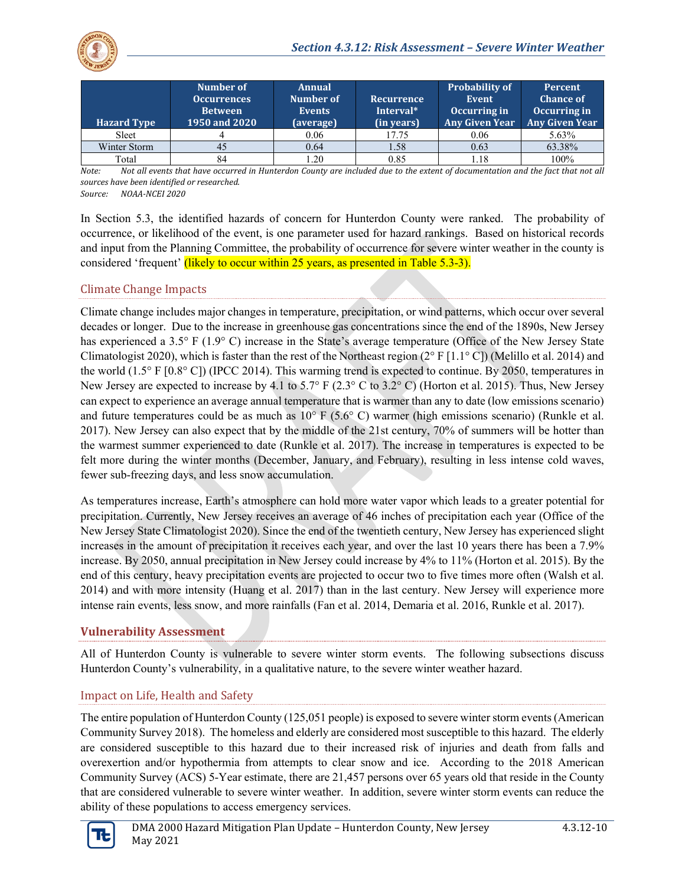

| <b>Hazard Type</b> | Number of<br><b>Occurrences</b><br><b>Between</b><br>1950 and 2020 | <b>Annual</b><br>Number of<br><b>Events</b><br>(average) | <b>Recurrence</b><br>Interval*<br>(in years) | <b>Probability of</b><br>Event<br>Occurring in<br><b>Any Given Year</b> | Percent<br><b>Chance of</b><br>Occurring in<br><b>Any Given Year</b> |
|--------------------|--------------------------------------------------------------------|----------------------------------------------------------|----------------------------------------------|-------------------------------------------------------------------------|----------------------------------------------------------------------|
| Sleet              |                                                                    | 0.06                                                     | 17.75                                        | 0.06                                                                    | 5.63%                                                                |
| Winter Storm       | 45                                                                 | 0.64                                                     | 1.58                                         | 0.63                                                                    | 63.38%                                                               |
| Total              | 84                                                                 | .20                                                      | 0.85                                         | 1.18                                                                    | 100%                                                                 |

*Note: Not all events that have occurred in Hunterdon County are included due to the extent of documentation and the fact that not all sources have been identified or researched.*

*Source: NOAA-NCEI 2020*

In Section 5.3, the identified hazards of concern for Hunterdon County were ranked. The probability of occurrence, or likelihood of the event, is one parameter used for hazard rankings. Based on historical records and input from the Planning Committee, the probability of occurrence for severe winter weather in the county is considered 'frequent' (likely to occur within 25 years, as presented in Table 5.3-3).

### Climate Change Impacts

Climate change includes major changes in temperature, precipitation, or wind patterns, which occur over several decades or longer. Due to the increase in greenhouse gas concentrations since the end of the 1890s, New Jersey has experienced a 3.5° F (1.9° C) increase in the State's average temperature (Office of the New Jersey State Climatologist 2020), which is faster than the rest of the Northeast region  $(2^{\circ} F [1.1^{\circ} C])$  (Melillo et al. 2014) and the world (1.5° F [0.8° C]) (IPCC 2014). This warming trend is expected to continue. By 2050, temperatures in New Jersey are expected to increase by 4.1 to 5.7° F (2.3° C to 3.2° C) (Horton et al. 2015). Thus, New Jersey can expect to experience an average annual temperature that is warmer than any to date (low emissions scenario) and future temperatures could be as much as  $10^{\circ}$  F (5.6° C) warmer (high emissions scenario) (Runkle et al. 2017). New Jersey can also expect that by the middle of the 21st century, 70% of summers will be hotter than the warmest summer experienced to date (Runkle et al. 2017). The increase in temperatures is expected to be felt more during the winter months (December, January, and February), resulting in less intense cold waves, fewer sub-freezing days, and less snow accumulation.

As temperatures increase, Earth's atmosphere can hold more water vapor which leads to a greater potential for precipitation. Currently, New Jersey receives an average of 46 inches of precipitation each year (Office of the New Jersey State Climatologist 2020). Since the end of the twentieth century, New Jersey has experienced slight increases in the amount of precipitation it receives each year, and over the last 10 years there has been a 7.9% increase. By 2050, annual precipitation in New Jersey could increase by 4% to 11% (Horton et al. 2015). By the end of this century, heavy precipitation events are projected to occur two to five times more often (Walsh et al. 2014) and with more intensity (Huang et al. 2017) than in the last century. New Jersey will experience more intense rain events, less snow, and more rainfalls (Fan et al. 2014, Demaria et al. 2016, Runkle et al. 2017).

### **Vulnerability Assessment**

All of Hunterdon County is vulnerable to severe winter storm events. The following subsections discuss Hunterdon County's vulnerability, in a qualitative nature, to the severe winter weather hazard.

# Impact on Life, Health and Safety

The entire population of Hunterdon County (125,051 people) is exposed to severe winter storm events (American Community Survey 2018). The homeless and elderly are considered most susceptible to this hazard. The elderly are considered susceptible to this hazard due to their increased risk of injuries and death from falls and overexertion and/or hypothermia from attempts to clear snow and ice. According to the 2018 American Community Survey (ACS) 5-Year estimate, there are 21,457 persons over 65 years old that reside in the County that are considered vulnerable to severe winter weather. In addition, severe winter storm events can reduce the ability of these populations to access emergency services.

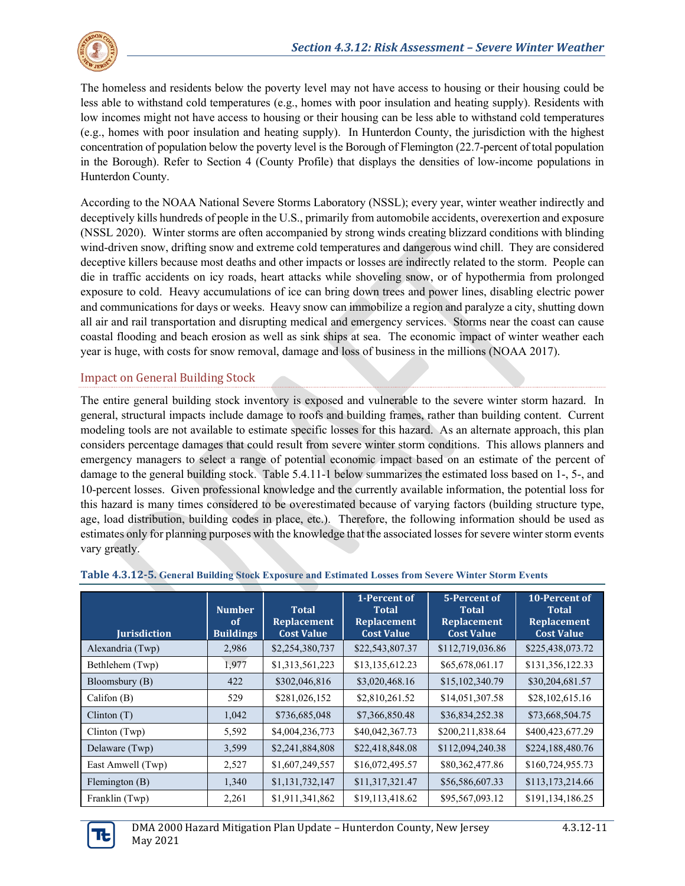

The homeless and residents below the poverty level may not have access to housing or their housing could be less able to withstand cold temperatures (e.g., homes with poor insulation and heating supply). Residents with low incomes might not have access to housing or their housing can be less able to withstand cold temperatures (e.g., homes with poor insulation and heating supply). In Hunterdon County, the jurisdiction with the highest concentration of population below the poverty level is the Borough of Flemington (22.7-percent of total population in the Borough). Refer to Section 4 (County Profile) that displays the densities of low-income populations in Hunterdon County.

According to the NOAA National Severe Storms Laboratory (NSSL); every year, winter weather indirectly and deceptively kills hundreds of people in the U.S., primarily from automobile accidents, overexertion and exposure (NSSL 2020). Winter storms are often accompanied by strong winds creating blizzard conditions with blinding wind-driven snow, drifting snow and extreme cold temperatures and dangerous wind chill. They are considered deceptive killers because most deaths and other impacts or losses are indirectly related to the storm. People can die in traffic accidents on icy roads, heart attacks while shoveling snow, or of hypothermia from prolonged exposure to cold. Heavy accumulations of ice can bring down trees and power lines, disabling electric power and communications for days or weeks. Heavy snow can immobilize a region and paralyze a city, shutting down all air and rail transportation and disrupting medical and emergency services. Storms near the coast can cause coastal flooding and beach erosion as well as sink ships at sea. The economic impact of winter weather each year is huge, with costs for snow removal, damage and loss of business in the millions (NOAA 2017).

### Impact on General Building Stock

The entire general building stock inventory is exposed and vulnerable to the severe winter storm hazard. In general, structural impacts include damage to roofs and building frames, rather than building content. Current modeling tools are not available to estimate specific losses for this hazard. As an alternate approach, this plan considers percentage damages that could result from severe winter storm conditions. This allows planners and emergency managers to select a range of potential economic impact based on an estimate of the percent of damage to the general building stock. [Table 5.4.11-1](#page-10-0) below summarizes the estimated loss based on 1-, 5-, and 10-percent losses. Given professional knowledge and the currently available information, the potential loss for this hazard is many times considered to be overestimated because of varying factors (building structure type, age, load distribution, building codes in place, etc.). Therefore, the following information should be used as estimates only for planning purposes with the knowledge that the associated losses for severe winter storm events vary greatly.

| <b>Jurisdiction</b> | <b>Number</b><br><sub>of</sub><br><b>Buildings</b> | <b>Total</b><br>Replacement<br><b>Cost Value</b> | 1-Percent of<br>Total<br><b>Replacement</b><br><b>Cost Value</b> | 5-Percent of<br>Total<br>Replacement<br><b>Cost Value</b> | 10-Percent of<br>Total<br><b>Replacement</b><br><b>Cost Value</b> |
|---------------------|----------------------------------------------------|--------------------------------------------------|------------------------------------------------------------------|-----------------------------------------------------------|-------------------------------------------------------------------|
| Alexandria (Twp)    | 2,986                                              | \$2,254,380,737                                  | \$22,543,807.37                                                  | \$112,719,036.86                                          | \$225,438,073.72                                                  |
| Bethlehem (Twp)     | 1,977                                              | \$1,313,561,223                                  | \$13,135,612.23                                                  | \$65,678,061.17                                           | \$131,356,122.33                                                  |
| Bloomsbury (B)      | 422                                                | \$302,046,816                                    | \$3,020,468.16                                                   | \$15,102,340.79                                           | \$30,204,681.57                                                   |
| Califon $(B)$       | 529                                                | \$281,026,152                                    | \$2,810,261.52                                                   | \$14,051,307.58                                           | \$28,102,615.16                                                   |
| Clinton(T)          | 1,042                                              | \$736,685,048                                    | \$7,366,850.48                                                   | \$36,834,252.38                                           | \$73,668,504.75                                                   |
| $Clinton$ (Twp)     | 5,592                                              | \$4,004,236,773                                  | \$40,042,367.73                                                  | \$200,211,838.64                                          | \$400,423,677.29                                                  |
| Delaware (Twp)      | 3,599                                              | \$2,241,884,808                                  | \$22,418,848.08                                                  | \$112,094,240.38                                          | \$224,188,480.76                                                  |
| East Amwell (Twp)   | 2,527                                              | \$1,607,249,557                                  | \$16,072,495.57                                                  | \$80,362,477.86                                           | \$160,724,955.73                                                  |
| Flemington $(B)$    | 1,340                                              | \$1,131,732,147                                  | \$11,317,321.47                                                  | \$56,586,607.33                                           | \$113,173,214.66                                                  |
| Franklin (Twp)      | 2,261                                              | \$1,911,341,862                                  | \$19,113,418.62                                                  | \$95,567,093.12                                           | \$191,134,186.25                                                  |

#### <span id="page-10-0"></span>**Table 4.3.12-5. General Building Stock Exposure and Estimated Losses from Severe Winter Storm Events**

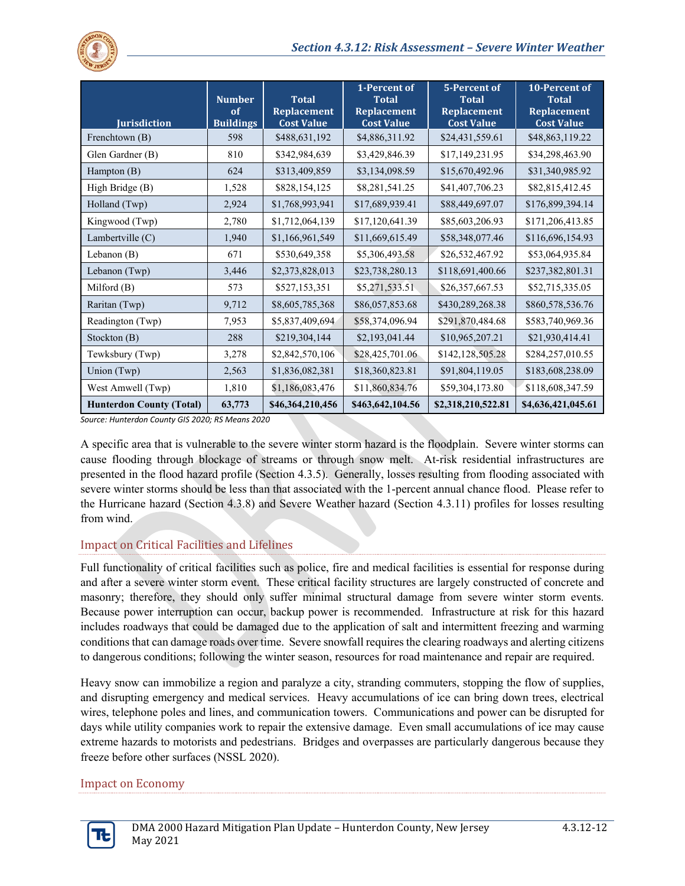

| <b>Jurisdiction</b>             | <b>Number</b><br>of<br><b>Buildings</b> | <b>Total</b><br><b>Replacement</b><br><b>Cost Value</b> | 1-Percent of<br><b>Total</b><br><b>Replacement</b><br><b>Cost Value</b> | 5-Percent of<br><b>Total</b><br><b>Replacement</b><br><b>Cost Value</b> | 10-Percent of<br><b>Total</b><br><b>Replacement</b><br><b>Cost Value</b> |
|---------------------------------|-----------------------------------------|---------------------------------------------------------|-------------------------------------------------------------------------|-------------------------------------------------------------------------|--------------------------------------------------------------------------|
| Frenchtown (B)                  | 598                                     | \$488,631,192                                           | \$4,886,311.92                                                          | \$24,431,559.61                                                         | \$48,863,119.22                                                          |
| Glen Gardner (B)                | 810                                     | \$342,984,639                                           | \$3,429,846.39                                                          | \$17,149,231.95                                                         | \$34,298,463.90                                                          |
| Hampton $(B)$                   | 624                                     | \$313,409,859                                           | \$3,134,098.59                                                          | \$15,670,492.96                                                         | \$31,340,985.92                                                          |
| High Bridge (B)                 | 1,528                                   | \$828,154,125                                           | \$8,281,541.25                                                          | \$41,407,706.23                                                         | \$82,815,412.45                                                          |
| Holland (Twp)                   | 2,924                                   | \$1,768,993,941                                         | \$17,689,939.41                                                         | \$88,449,697.07                                                         | \$176,899,394.14                                                         |
| Kingwood (Twp)                  | 2,780                                   | \$1,712,064,139                                         | \$17,120,641.39                                                         | \$85,603,206.93                                                         | \$171,206,413.85                                                         |
| Lambertville $(C)$              | 1,940                                   | \$1,166,961,549                                         | \$11,669,615.49                                                         | \$58,348,077.46                                                         | \$116,696,154.93                                                         |
| Lebanon $(B)$                   | 671                                     | \$530,649,358                                           | \$5,306,493.58                                                          | \$26,532,467.92                                                         | \$53,064,935.84                                                          |
| Lebanon (Twp)                   | 3,446                                   | \$2,373,828,013                                         | \$23,738,280.13                                                         | \$118,691,400.66                                                        | \$237,382,801.31                                                         |
| Milford (B)                     | 573                                     | \$527,153,351                                           | \$5,271,533.51                                                          | \$26,357,667.53                                                         | \$52,715,335.05                                                          |
| Raritan (Twp)                   | 9,712                                   | \$8,605,785,368                                         | \$86,057,853.68                                                         | \$430,289,268.38                                                        | \$860,578,536.76                                                         |
| Readington (Twp)                | 7,953                                   | \$5,837,409,694                                         | \$58,374,096.94                                                         | \$291,870,484.68                                                        | \$583,740,969.36                                                         |
| Stockton (B)                    | 288                                     | \$219,304,144                                           | \$2,193,041.44                                                          | \$10,965,207.21                                                         | \$21,930,414.41                                                          |
| Tewksbury (Twp)                 | 3,278                                   | \$2,842,570,106                                         | \$28,425,701.06                                                         | \$142,128,505.28                                                        | \$284,257,010.55                                                         |
| Union (Twp)                     | 2,563                                   | \$1,836,082,381                                         | \$18,360,823.81                                                         | \$91,804,119.05                                                         | \$183,608,238.09                                                         |
| West Amwell (Twp)               | 1,810                                   | \$1,186,083,476                                         | \$11,860,834.76                                                         | \$59,304,173.80                                                         | \$118,608,347.59                                                         |
| <b>Hunterdon County (Total)</b> | 63,773                                  | \$46,364,210,456                                        | \$463,642,104.56                                                        | \$2,318,210,522.81                                                      | \$4,636,421,045.61                                                       |

*Source: Hunterdon County GIS 2020; RS Means 2020*

A specific area that is vulnerable to the severe winter storm hazard is the floodplain. Severe winter storms can cause flooding through blockage of streams or through snow melt. At-risk residential infrastructures are presented in the flood hazard profile (Section 4.3.5). Generally, losses resulting from flooding associated with severe winter storms should be less than that associated with the 1-percent annual chance flood. Please refer to the Hurricane hazard (Section 4.3.8) and Severe Weather hazard (Section 4.3.11) profiles for losses resulting from wind.

### Impact on Critical Facilities and Lifelines

Full functionality of critical facilities such as police, fire and medical facilities is essential for response during and after a severe winter storm event. These critical facility structures are largely constructed of concrete and masonry; therefore, they should only suffer minimal structural damage from severe winter storm events. Because power interruption can occur, backup power is recommended. Infrastructure at risk for this hazard includes roadways that could be damaged due to the application of salt and intermittent freezing and warming conditions that can damage roads over time. Severe snowfall requires the clearing roadways and alerting citizens to dangerous conditions; following the winter season, resources for road maintenance and repair are required.

Heavy snow can immobilize a region and paralyze a city, stranding commuters, stopping the flow of supplies, and disrupting emergency and medical services. Heavy accumulations of ice can bring down trees, electrical wires, telephone poles and lines, and communication towers. Communications and power can be disrupted for days while utility companies work to repair the extensive damage. Even small accumulations of ice may cause extreme hazards to motorists and pedestrians. Bridges and overpasses are particularly dangerous because they freeze before other surfaces (NSSL 2020).

#### Impact on Economy

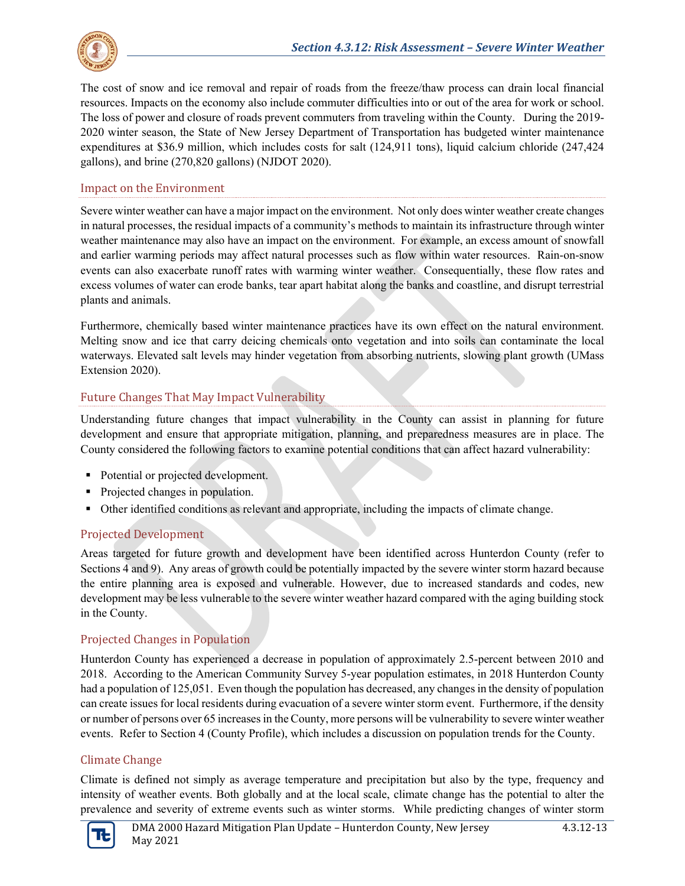

The cost of snow and ice removal and repair of roads from the freeze/thaw process can drain local financial resources. Impacts on the economy also include commuter difficulties into or out of the area for work or school. The loss of power and closure of roads prevent commuters from traveling within the County. During the 2019- 2020 winter season, the State of New Jersey Department of Transportation has budgeted winter maintenance expenditures at \$36.9 million, which includes costs for salt (124,911 tons), liquid calcium chloride (247,424 gallons), and brine (270,820 gallons) (NJDOT 2020).

#### Impact on the Environment

Severe winter weather can have a major impact on the environment. Not only does winter weather create changes in natural processes, the residual impacts of a community's methods to maintain its infrastructure through winter weather maintenance may also have an impact on the environment. For example, an excess amount of snowfall and earlier warming periods may affect natural processes such as flow within water resources. Rain-on-snow events can also exacerbate runoff rates with warming winter weather. Consequentially, these flow rates and excess volumes of water can erode banks, tear apart habitat along the banks and coastline, and disrupt terrestrial plants and animals.

Furthermore, chemically based winter maintenance practices have its own effect on the natural environment. Melting snow and ice that carry deicing chemicals onto vegetation and into soils can contaminate the local waterways. Elevated salt levels may hinder vegetation from absorbing nutrients, slowing plant growth (UMass Extension 2020).

### Future Changes That May Impact Vulnerability

Understanding future changes that impact vulnerability in the County can assist in planning for future development and ensure that appropriate mitigation, planning, and preparedness measures are in place. The County considered the following factors to examine potential conditions that can affect hazard vulnerability:

- Potential or projected development.
- Projected changes in population.
- Other identified conditions as relevant and appropriate, including the impacts of climate change.

### Projected Development

Areas targeted for future growth and development have been identified across Hunterdon County (refer to Sections 4 and 9). Any areas of growth could be potentially impacted by the severe winter storm hazard because the entire planning area is exposed and vulnerable. However, due to increased standards and codes, new development may be less vulnerable to the severe winter weather hazard compared with the aging building stock in the County.

### Projected Changes in Population

Hunterdon County has experienced a decrease in population of approximately 2.5-percent between 2010 and 2018. According to the American Community Survey 5-year population estimates, in 2018 Hunterdon County had a population of 125,051. Even though the population has decreased, any changes in the density of population can create issues for local residents during evacuation of a severe winter storm event. Furthermore, if the density or number of persons over 65 increases in the County, more persons will be vulnerability to severe winter weather events. Refer to Section 4 (County Profile), which includes a discussion on population trends for the County.

### Climate Change

Climate is defined not simply as average temperature and precipitation but also by the type, frequency and intensity of weather events. Both globally and at the local scale, climate change has the potential to alter the prevalence and severity of extreme events such as winter storms. While predicting changes of winter storm